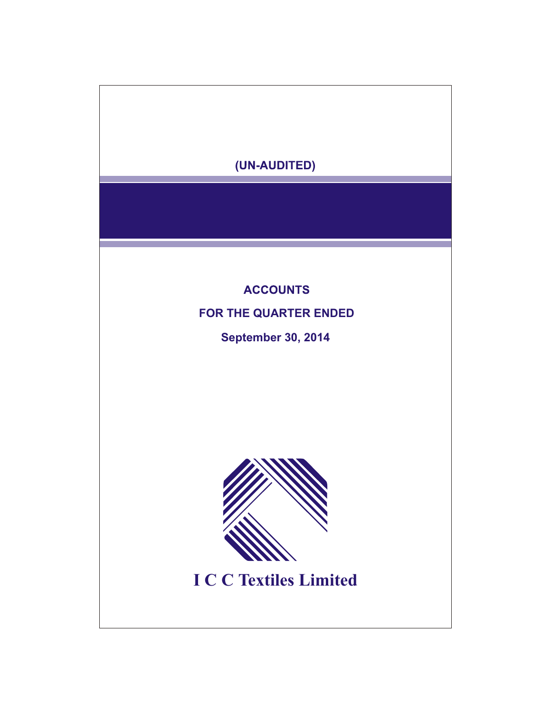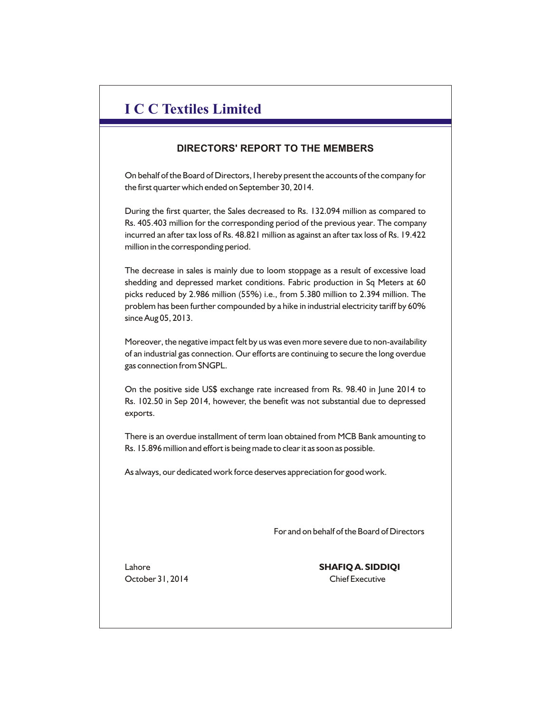# **I C C Textiles Limited**

## **DIRECTORS' REPORT TO THE MEMBERS**

On behalf of the Board of Directors, I hereby present the accounts of the company for the first quarter which ended on September 30, 2014.

During the first quarter, the Sales decreased to Rs. 132.094 million as compared to Rs. 405.403 million for the corresponding period of the previous year. The company incurred an after tax loss of Rs. 48.821 million as against an after tax loss of Rs. 19.422 million in the corresponding period.

The decrease in sales is mainly due to loom stoppage as a result of excessive load shedding and depressed market conditions. Fabric production in Sq Meters at 60 picks reduced by 2.986 million (55%) i.e., from 5.380 million to 2.394 million. The problem has been further compounded by a hike in industrial electricity tariff by 60% since Aug 05, 2013.

Moreover, the negative impact felt by us was even more severe due to non-availability of an industrial gas connection. Our efforts are continuing to secure the long overdue gas connection from SNGPL.

On the positive side US\$ exchange rate increased from Rs. 98.40 in June 2014 to Rs. 102.50 in Sep 2014, however, the benefit was not substantial due to depressed exports.

There is an overdue installment of term loan obtained from MCB Bank amounting to Rs. 15.896 million and effort is being made to clear it as soon as possible.

As always, our dedicated work force deserves appreciation for good work.

For and on behalf of the Board of Directors

October 31, 2014 Chief Executive

Lahore **SHAFIQ A. SIDDIQI**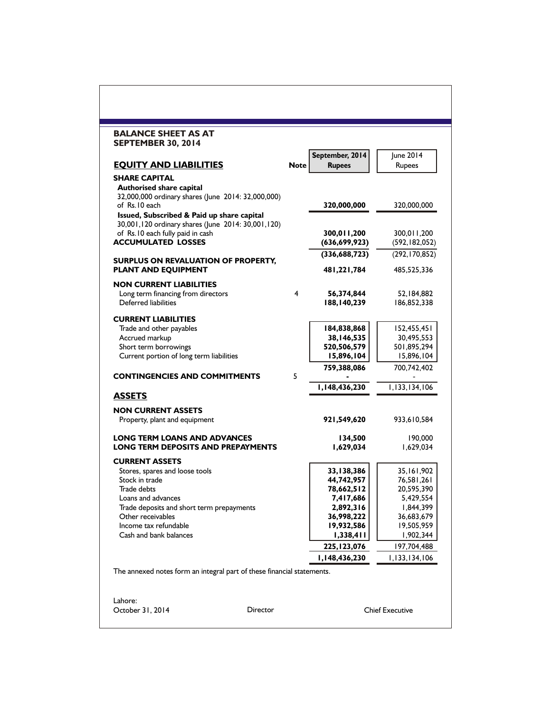| <b>BALANCE SHEET AS AT</b><br><b>SEPTEMBER 30, 2014</b>                |             |                                |                                |
|------------------------------------------------------------------------|-------------|--------------------------------|--------------------------------|
|                                                                        |             | September, 2014                | June 2014                      |
| <b>EQUITY AND LIABILITIES</b>                                          | <b>Note</b> | <b>Rupees</b>                  | Rupees                         |
| <b>SHARE CAPITAL</b>                                                   |             |                                |                                |
| <b>Authorised share capital</b>                                        |             |                                |                                |
| 32,000,000 ordinary shares (June 2014: 32,000,000)<br>of Rs.10 each    |             | 320,000,000                    | 320,000,000                    |
| Issued, Subscribed & Paid up share capital                             |             |                                |                                |
| 30,001,120 ordinary shares (June 2014: 30,001,120)                     |             |                                |                                |
| of Rs.10 each fully paid in cash<br><b>ACCUMULATED LOSSES</b>          |             | 300,011,200<br>(636, 699, 923) | 300,011,200<br>(592, 182, 052) |
|                                                                        |             | (336, 688, 723)                | (292, 170, 852)                |
| <b>SURPLUS ON REVALUATION OF PROPERTY,</b>                             |             |                                |                                |
| PLANT AND EQUIPMENT                                                    |             | 481,221,784                    | 485,525,336                    |
| <b>NON CURRENT LIABILITIES</b>                                         |             |                                |                                |
| Long term financing from directors                                     | 4           | 56,374,844                     | 52,184,882                     |
| Deferred liabilities                                                   |             | 188,140,239                    | 186,852,338                    |
| <b>CURRENT LIABILITIES</b>                                             |             |                                |                                |
| Trade and other payables                                               |             | 184,838,868                    | 152,455,451                    |
| Accrued markup<br>Short term borrowings                                |             | 38,146,535<br>520,506,579      | 30,495,553<br>501,895,294      |
| Current portion of long term liabilities                               |             | 15,896,104                     | 15,896,104                     |
|                                                                        |             | 759,388,086                    | 700,742,402                    |
| <b>CONTINGENCIES AND COMMITMENTS</b>                                   | 5           |                                |                                |
| <b>ASSETS</b>                                                          |             | 1,148,436,230                  | 1,133,134,106                  |
|                                                                        |             |                                |                                |
| <b>NON CURRENT ASSETS</b><br>Property, plant and equipment             |             | 921,549,620                    | 933,610,584                    |
|                                                                        |             |                                |                                |
| LONG TERM LOANS AND ADVANCES                                           |             | 134,500                        | 190,000                        |
| <b>LONG TERM DEPOSITS AND PREPAYMENTS</b>                              |             | 1,629,034                      | 1,629,034                      |
| <b>CURRENT ASSETS</b>                                                  |             |                                |                                |
| Stores, spares and loose tools                                         |             | 33,138,386                     | 35,161,902                     |
| Stock in trade<br>Trade debts                                          |             | 44,742,957<br>78,662,512       | 76,581,261<br>20,595,390       |
| Loans and advances                                                     |             | 7,417,686                      | 5,429,554                      |
| Trade deposits and short term prepayments                              |             | 2,892,316                      | 844,399, ا                     |
| Other receivables                                                      |             | 36,998,222                     | 36,683,679                     |
| Income tax refundable                                                  |             | 19,932,586                     | 19,505,959                     |
| Cash and bank balances                                                 |             | 1,338,411                      | 1,902,344                      |
|                                                                        |             | 225, 123, 076                  | 197,704,488                    |
|                                                                        |             | 1,148,436,230                  | 1,133,134,106                  |
| The annexed notes form an integral part of these financial statements. |             |                                |                                |
| Lahore:                                                                |             |                                |                                |
| October 31, 2014                                                       | Director    |                                | <b>Chief Executive</b>         |
|                                                                        |             |                                |                                |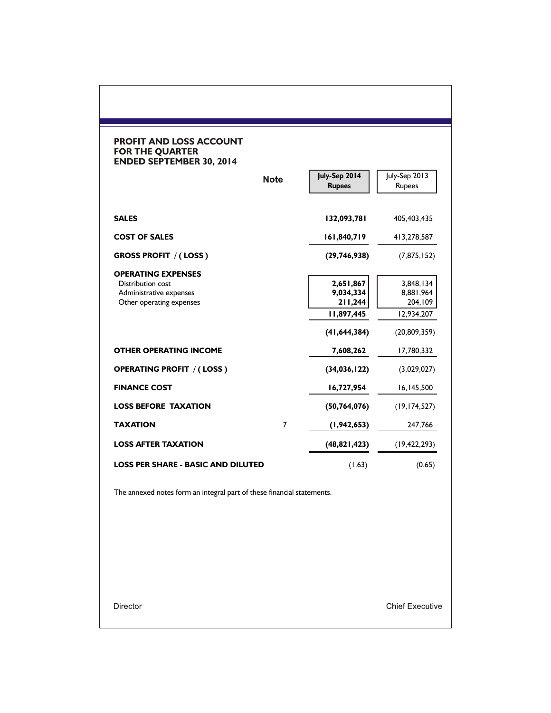### **PROFIT AND LOSS ACCOUNT FOR THE QUARTER ENDED SEPTEMBER 30, 2014**

|                                                                                                       | <b>Note</b> | July-Sep 2014<br><b>Rupees</b>                                    | July-Sep 2013<br><b>Rupees</b>                                    |
|-------------------------------------------------------------------------------------------------------|-------------|-------------------------------------------------------------------|-------------------------------------------------------------------|
| <b>SALES</b>                                                                                          |             | 132,093,781                                                       | 405,403,435                                                       |
| <b>COST OF SALES</b>                                                                                  |             | 161,840,719                                                       | 413,278,587                                                       |
| <b>GROSS PROFIT / (LOSS)</b>                                                                          |             | (29, 746, 938)                                                    | (7, 875, 152)                                                     |
| <b>OPERATING EXPENSES</b><br>Distribution cost<br>Administrative expenses<br>Other operating expenses |             | 2,651,867<br>9,034,334<br>211,244<br>11,897,445<br>(41, 644, 384) | 3,848,134<br>8,881,964<br>204,109<br>12,934,207<br>(20, 809, 359) |
| <b>OTHER OPERATING INCOME</b>                                                                         |             | 7,608,262                                                         | 17,780,332                                                        |
| <b>OPERATING PROFIT / (LOSS)</b>                                                                      |             | (34,036,122)                                                      | (3,029,027)                                                       |
| <b>FINANCE COST</b>                                                                                   |             | 16,727,954                                                        | 16,145,500                                                        |
| <b>LOSS BEFORE TAXATION</b>                                                                           |             | (50, 764, 076)                                                    | (19, 174, 527)                                                    |
| <b>TAXATION</b>                                                                                       | 7           | (1, 942, 653)                                                     | 247,766                                                           |
| <b>LOSS AFTER TAXATION</b>                                                                            |             | (48, 821, 423)                                                    | (19, 422, 293)                                                    |
| <b>LOSS PER SHARE - BASIC AND DILUTED</b>                                                             |             | (1.63)                                                            | (0.65)                                                            |

The annexed notes form an integral part of these financial statements.

Director

**Chief Executive**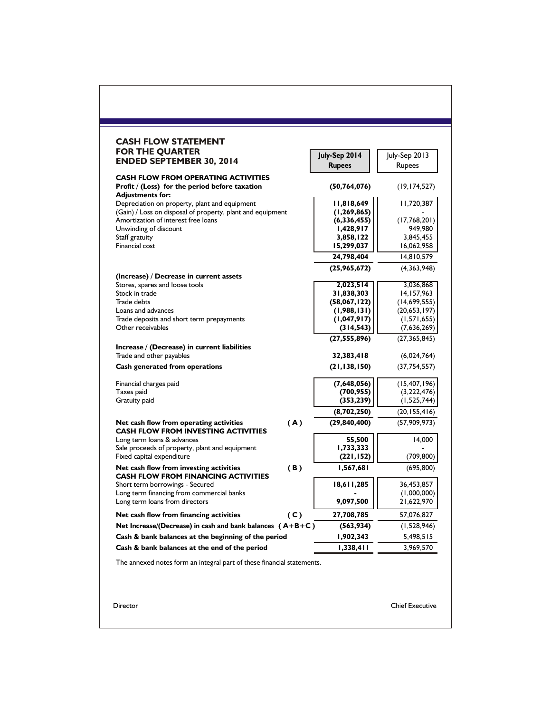| <b>CASH FLOW STATEMENT</b>                                                            |     |                             |                                |
|---------------------------------------------------------------------------------------|-----|-----------------------------|--------------------------------|
| <b>FOR THE QUARTER</b>                                                                |     | July-Sep 2014               | July-Sep 2013                  |
| <b>ENDED SEPTEMBER 30, 2014</b>                                                       |     | <b>Rupees</b>               | Rupees                         |
| <b>CASH FLOW FROM OPERATING ACTIVITIES</b>                                            |     |                             |                                |
| Profit / (Loss) for the period before taxation                                        |     | (50, 764, 076)              | (19, 174, 527)                 |
| <b>Adjustments for:</b>                                                               |     |                             |                                |
| Depreciation on property, plant and equipment                                         |     | 11,818,649                  | 11,720,387                     |
| (Gain) / Loss on disposal of property, plant and equipment                            |     | (1, 269, 865)               |                                |
| Amortization of interest free loans<br>Unwinding of discount                          |     | (6,336,455)<br>1,428,917    | (17,768,201)<br>949,980        |
| Staff gratuity                                                                        |     | 3,858,122                   | 3,845,455                      |
| Financial cost                                                                        |     | 15,299,037                  | 16,062,958                     |
|                                                                                       |     | 24,798,404                  | 14,810,579                     |
|                                                                                       |     | (25,965,672)                | (4,363,948)                    |
| (Increase) / Decrease in current assets                                               |     |                             |                                |
| Stores, spares and loose tools                                                        |     | 2,023,514                   | 3,036,868                      |
| Stock in trade<br>Trade debts                                                         |     | 31,838,303                  | 14,157,963                     |
| Loans and advances                                                                    |     | (58,067,122)<br>(1,988,131) | (14,699,555)<br>(20, 653, 197) |
| Trade deposits and short term prepayments                                             |     | (1,047,917)                 | (1,571,655)                    |
| Other receivables                                                                     |     | (314, 543)                  | (7,636,269)                    |
|                                                                                       |     | (27, 555, 896)              | (27, 365, 845)                 |
| Increase / (Decrease) in current liabilities<br>Trade and other payables              |     | 32,383,418                  |                                |
| Cash generated from operations                                                        |     | (21, 138, 150)              | (6,024,764)<br>(37, 754, 557)  |
|                                                                                       |     |                             |                                |
| Financial charges paid                                                                |     | (7,648,056)                 | (15, 407, 196)                 |
| Taxes paid                                                                            |     | (700, 955)                  | (3,222,476)                    |
| Gratuity paid                                                                         |     | (353, 239)                  | (1,525,744)                    |
|                                                                                       |     | (8,702,250)                 | (20, 155, 416)                 |
| Net cash flow from operating activities<br><b>CASH FLOW FROM INVESTING ACTIVITIES</b> | (A) | (29, 840, 400)              | (57,909,973)                   |
| Long term loans & advances                                                            |     | 55,500                      | 14,000                         |
| Sale proceeds of property, plant and equipment                                        |     | 1,733,333                   |                                |
| Fixed capital expenditure                                                             |     | (221, 152)                  | (709, 800)                     |
| Net cash flow from investing activities<br><b>CASH FLOW FROM FINANCING ACTIVITIES</b> | (B) | 1,567,681                   | (695, 800)                     |
| Short term borrowings - Secured                                                       |     | 18,611,285                  | 36,453,857                     |
| Long term financing from commercial banks                                             |     |                             | (1,000,000)                    |
| Long term loans from directors                                                        |     | 9,097,500                   | 21,622,970                     |
| Net cash flow from financing activities                                               | (C) | 27,708,785                  | 57,076,827                     |
| Net Increase/(Decrease) in cash and bank balances $(A+B+C)$                           |     | (563, 934)                  | (1,528,946)                    |
| Cash & bank balances at the beginning of the period                                   |     | 1,902,343                   | 5,498,515                      |
| Cash & bank balances at the end of the period                                         |     | 1,338,411                   | 3,969,570                      |
| The annexed notes form an integral part of these financial statements.                |     |                             |                                |
|                                                                                       |     |                             |                                |
|                                                                                       |     |                             |                                |
|                                                                                       |     |                             |                                |
| Director                                                                              |     |                             | <b>Chief Executive</b>         |
|                                                                                       |     |                             |                                |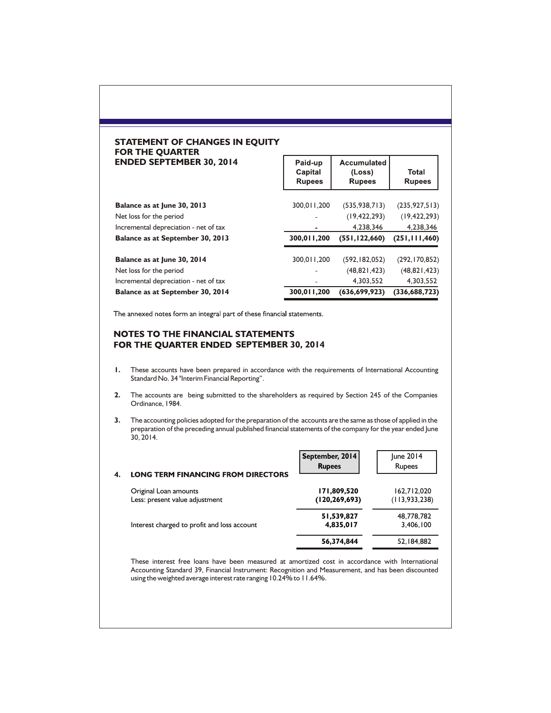#### **STATEMENT OF CHANGES IN EQUITY FOR THE QUARTER ENDED SEPTEMBER 30, 2014**

|                                       | Capital<br><b>Rupees</b> | (Loss)<br><b>Rupees</b> | Total<br><b>Rupees</b> |
|---------------------------------------|--------------------------|-------------------------|------------------------|
| Balance as at June 30, 2013           | 300,011,200              | (535, 938, 713)         | (235, 927, 513)        |
| Net loss for the period               |                          | (19, 422, 293)          | (19, 422, 293)         |
| Incremental depreciation - net of tax |                          | 4.238.346               | 4,238,346              |
|                                       |                          |                         |                        |
| Balance as at September 30, 2013      | 300,011,200              | (551, 122, 660)         | (251, 111, 460)        |
| Balance as at June 30, 2014           | 300,011,200              | (592, 182, 052)         | (292, 170, 852)        |
| Net loss for the period               |                          | (48, 821, 423)          | (48, 821, 423)         |
| Incremental depreciation - net of tax |                          | 4,303,552               | 4,303,552              |

Paid-up | Accumulated |

The annexed notes form an integral part of these financial statements.

#### NOTES TO THE FINANCIAL STATEMENTS FOR THE QUARTER ENDED SEPTEMBER 30, 2014

- **1.** These accounts have been prepared in accordance with the requirements of International Accounting Standard No. 34 "Interim Financial Reporting".
- **2.** The accounts are being submitted to the shareholders as required by Section 245 of the Companies Ordinance, 1984.
- **3.** The accounting policies adopted for the preparation of the accounts are the same as those of applied in the preparation of the preceding annual published financial statements of the company for the year ended June 30, 2014.

| <b>LONG TERM FINANCING FROM DIRECTORS</b>               | September, 2014<br><b>Rupees</b> | June 2014<br>Rupees            |
|---------------------------------------------------------|----------------------------------|--------------------------------|
| Original Loan amounts<br>Less: present value adjustment | 171,809,520<br>(120, 269, 693)   | 162,712,020<br>(113, 933, 238) |
| Interest charged to profit and loss account             | 51,539,827<br>4,835,017          | 48,778,782<br>3,406,100        |
|                                                         | 56,374,844                       | 52,184,882                     |

These interest free loans have been measured at amortized cost in accordance with International Accounting Standard 39, Financial Instrument: Recognition and Measurement, and has been discounted using the weighted average interest rate ranging 10.24% to 11.64%.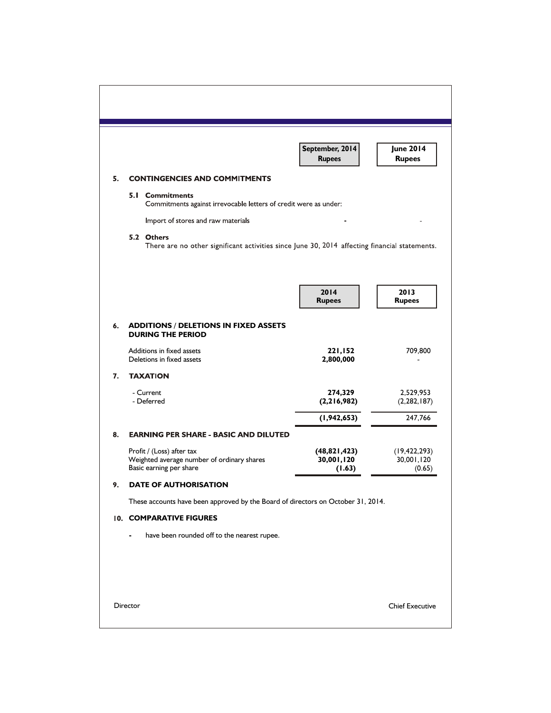